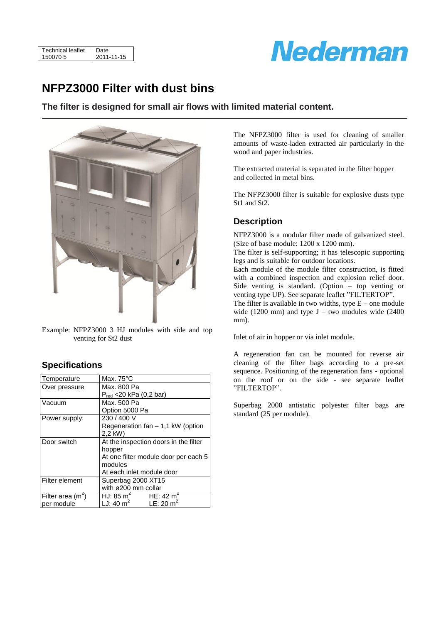| 150070.5 | Technical leaflet | Date       |
|----------|-------------------|------------|
|          |                   | 2011-11-15 |



## **NFPZ3000 Filter with dust bins**

**The filter is designed for small air flows with limited material content.**



Example: NFPZ3000 3 HJ modules with side and top venting for St2 dust

#### **Specifications**

| Temperature        | Max. $75^{\circ}$ C                  |                                       |  |  |  |  |
|--------------------|--------------------------------------|---------------------------------------|--|--|--|--|
| Over pressure      | Max. 800 Pa                          |                                       |  |  |  |  |
|                    | $P_{red}$ <20 kPa (0,2 bar)          |                                       |  |  |  |  |
| Vacuum             | Max. 500 Pa                          |                                       |  |  |  |  |
|                    | Option 5000 Pa                       |                                       |  |  |  |  |
| Power supply:      | 230/400V                             |                                       |  |  |  |  |
|                    | Regeneration $fan - 1.1 kW$ (option  |                                       |  |  |  |  |
|                    | 2.2 kW)                              |                                       |  |  |  |  |
| Door switch        |                                      | At the inspection doors in the filter |  |  |  |  |
|                    | hopper                               |                                       |  |  |  |  |
|                    | At one filter module door per each 5 |                                       |  |  |  |  |
|                    | modules                              |                                       |  |  |  |  |
|                    | At each inlet module door            |                                       |  |  |  |  |
| Filter element     | Superbag 2000 XT15                   |                                       |  |  |  |  |
|                    | with $\varnothing$ 200 mm collar     |                                       |  |  |  |  |
| Filter area $(m2)$ | HJ: 85 $m2$                          | HE: 42 $m^2$                          |  |  |  |  |
| per module         | LJ: 40 $m2$                          | LE: 20 $m^2$                          |  |  |  |  |

The NFPZ3000 filter is used for cleaning of smaller amounts of waste-laden extracted air particularly in the wood and paper industries.

The extracted material is separated in the filter hopper and collected in metal bins.

The NFPZ3000 filter is suitable for explosive dusts type St1 and St2.

#### **Description**

NFPZ3000 is a modular filter made of galvanized steel. (Size of base module: 1200 x 1200 mm).

The filter is self-supporting; it has telescopic supporting legs and is suitable for outdoor locations.

Each module of the module filter construction, is fitted with a combined inspection and explosion relief door. Side venting is standard. (Option – top venting or venting type UP). See separate leaflet "FILTERTOP".

The filter is available in two widths, type  $E$  – one module wide (1200 mm) and type  $J - two$  modules wide (2400) mm).

Inlet of air in hopper or via inlet module.

A regeneration fan can be mounted for reverse air cleaning of the filter bags according to a pre-set sequence. Positioning of the regeneration fans - optional on the roof or on the side - see separate leaflet "FILTERTOP".

Superbag 2000 antistatic polyester filter bags are standard (25 per module).